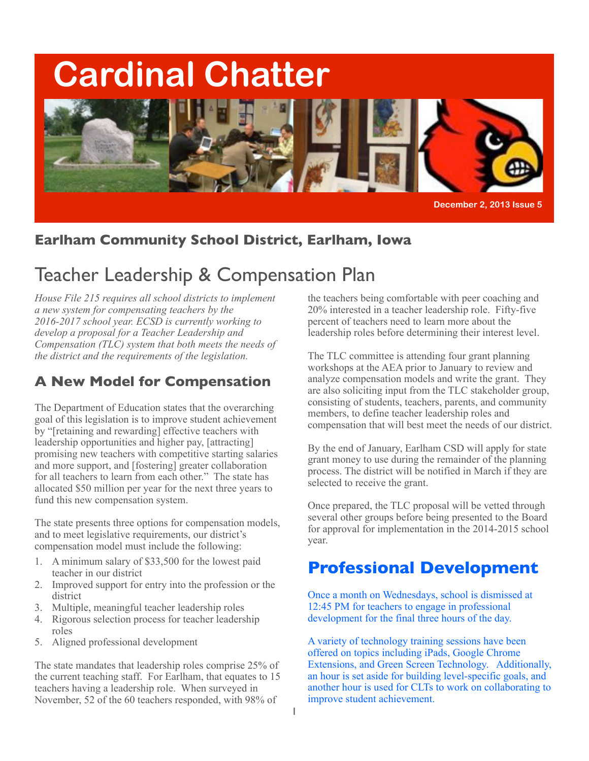# **Cardinal Chatter**



**December 2, 2013 Issue 5** 

# **Earlham Community School District, Earlham, Iowa**

# Teacher Leadership & Compensation Plan

*House File 215 requires all school districts to implement a new system for compensating teachers by the 2016-2017 school year. ECSD is currently working to develop a proposal for a Teacher Leadership and Compensation (TLC) system that both meets the needs of the district and the requirements of the legislation.*

# **A New Model for Compensation**

The Department of Education states that the overarching goal of this legislation is to improve student achievement by "[retaining and rewarding] effective teachers with leadership opportunities and higher pay, [attracting] promising new teachers with competitive starting salaries and more support, and [fostering] greater collaboration for all teachers to learn from each other." The state has allocated \$50 million per year for the next three years to fund this new compensation system.

The state presents three options for compensation models, and to meet legislative requirements, our district's compensation model must include the following:

- 1. A minimum salary of \$33,500 for the lowest paid teacher in our district
- 2. Improved support for entry into the profession or the district
- 3. Multiple, meaningful teacher leadership roles
- 4. Rigorous selection process for teacher leadership roles
- 5. Aligned professional development

The state mandates that leadership roles comprise 25% of the current teaching staff. For Earlham, that equates to 15 teachers having a leadership role. When surveyed in November, 52 of the 60 teachers responded, with 98% of

the teachers being comfortable with peer coaching and 20% interested in a teacher leadership role. Fifty-five percent of teachers need to learn more about the leadership roles before determining their interest level.

The TLC committee is attending four grant planning workshops at the AEA prior to January to review and analyze compensation models and write the grant. They are also soliciting input from the TLC stakeholder group, consisting of students, teachers, parents, and community members, to define teacher leadership roles and compensation that will best meet the needs of our district.

By the end of January, Earlham CSD will apply for state grant money to use during the remainder of the planning process. The district will be notified in March if they are selected to receive the grant.

Once prepared, the TLC proposal will be vetted through several other groups before being presented to the Board for approval for implementation in the 2014-2015 school year.

# **Professional Development**

Once a month on Wednesdays, school is dismissed at 12:45 PM for teachers to engage in professional development for the final three hours of the day.

A variety of technology training sessions have been offered on topics including iPads, Google Chrome Extensions, and Green Screen Technology. Additionally, an hour is set aside for building level-specific goals, and another hour is used for CLTs to work on collaborating to improve student achievement.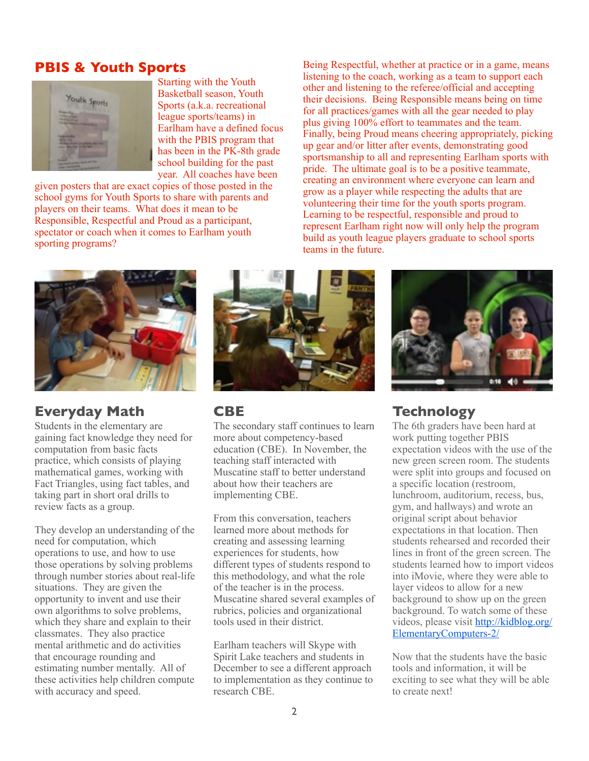#### **PBIS & Youth Sports**



Starting with the Youth Basketball season, Youth Sports (a.k.a. recreational league sports/teams) in Earlham have a defined focus with the PBIS program that has been in the PK-8th grade school building for the past year. All coaches have been

given posters that are exact copies of those posted in the school gyms for Youth Sports to share with parents and players on their teams. What does it mean to be Responsible, Respectful and Proud as a participant, spectator or coach when it comes to Earlham youth sporting programs?

Being Respectful, whether at practice or in a game, means listening to the coach, working as a team to support each other and listening to the referee/official and accepting their decisions. Being Responsible means being on time for all practices/games with all the gear needed to play plus giving 100% effort to teammates and the team. Finally, being Proud means cheering appropriately, picking up gear and/or litter after events, demonstrating good sportsmanship to all and representing Earlham sports with pride. The ultimate goal is to be a positive teammate, creating an environment where everyone can learn and grow as a player while respecting the adults that are volunteering their time for the youth sports program. Learning to be respectful, responsible and proud to represent Earlham right now will only help the program build as youth league players graduate to school sports teams in the future.



#### **Everyday Math**

Students in the elementary are gaining fact knowledge they need for computation from basic facts practice, which consists of playing mathematical games, working with Fact Triangles, using fact tables, and taking part in short oral drills to review facts as a group.

They develop an understanding of the need for computation, which operations to use, and how to use those operations by solving problems through number stories about real-life situations. They are given the opportunity to invent and use their own algorithms to solve problems, which they share and explain to their classmates. They also practice mental arithmetic and do activities that encourage rounding and estimating number mentally. All of these activities help children compute with accuracy and speed.



#### **CBE**

The secondary staff continues to learn more about competency-based education (CBE). In November, the teaching staff interacted with Muscatine staff to better understand about how their teachers are implementing CBE.

From this conversation, teachers learned more about methods for creating and assessing learning experiences for students, how different types of students respond to this methodology, and what the role of the teacher is in the process. Muscatine shared several examples of rubrics, policies and organizational tools used in their district.

Earlham teachers will Skype with Spirit Lake teachers and students in December to see a different approach to implementation as they continue to research CBE.



### **Technology**

The 6th graders have been hard at work putting together PBIS expectation videos with the use of the new green screen room. The students were split into groups and focused on a specific location (restroom, lunchroom, auditorium, recess, bus, gym, and hallways) and wrote an original script about behavior expectations in that location. Then students rehearsed and recorded their lines in front of the green screen. The students learned how to import videos into iMovie, where they were able to layer videos to allow for a new background to show up on the green background. To watch some of these videos, please visit [http://kidblog.org/](http://kidblog.org/ElementaryComputers-2/) [ElementaryComputers-2/](http://kidblog.org/ElementaryComputers-2/)

Now that the students have the basic tools and information, it will be exciting to see what they will be able to create next!